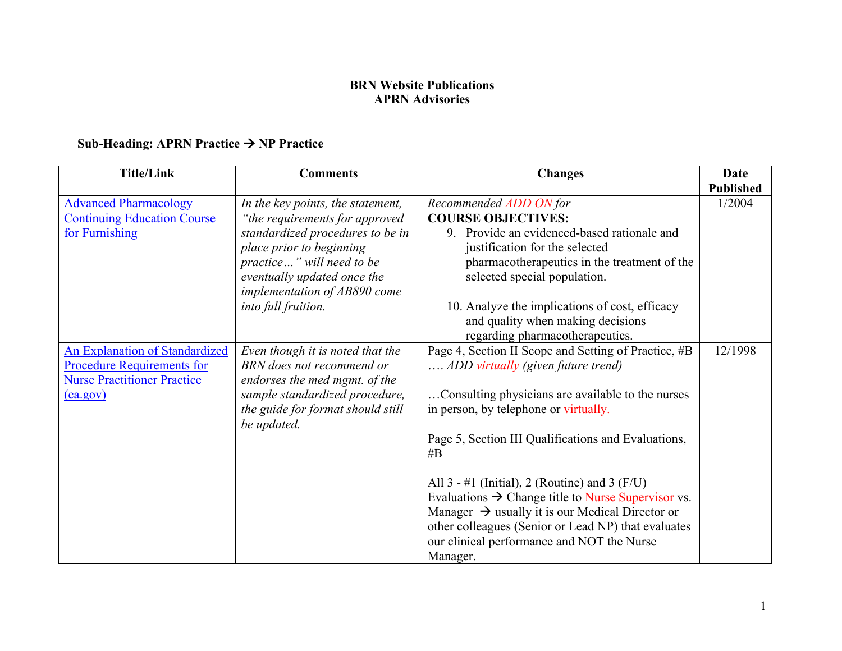## **APRN** Advisories **BRN Website Publications**

# **APRN Advisories Sub-Heading: APRN Practice** • **NP Practice**

| <b>Title/Link</b>                                                                                                | <b>Comments</b>                                                                                                                     | <b>Changes</b>                                                                                                                                                                                                                          | Date                       |
|------------------------------------------------------------------------------------------------------------------|-------------------------------------------------------------------------------------------------------------------------------------|-----------------------------------------------------------------------------------------------------------------------------------------------------------------------------------------------------------------------------------------|----------------------------|
| <b>Advanced Pharmacology</b><br><b>Continuing Education Course</b><br>for Furnishing                             | In the key points, the statement,<br>"the requirements for approved<br>standardized procedures to be in<br>place prior to beginning | Recommended ADD ON for<br><b>COURSE OBJECTIVES:</b><br>9. Provide an evidenced-based rationale and<br>justification for the selected                                                                                                    | <b>Published</b><br>1/2004 |
|                                                                                                                  | practice" will need to be<br>eventually updated once the<br>implementation of AB890 come                                            | pharmacotherapeutics in the treatment of the<br>selected special population.                                                                                                                                                            |                            |
|                                                                                                                  | into full fruition.                                                                                                                 | 10. Analyze the implications of cost, efficacy<br>and quality when making decisions<br>regarding pharmacotherapeutics.                                                                                                                  |                            |
| <b>An Explanation of Standardized</b><br><b>Procedure Requirements for</b><br><b>Nurse Practitioner Practice</b> | Even though it is noted that the<br>BRN does not recommend or<br>endorses the med mgmt. of the                                      | Page 4, Section II Scope and Setting of Practice, #B<br>ADD virtually (given future trend)                                                                                                                                              | 12/1998                    |
| (ca.gov)                                                                                                         | sample standardized procedure,<br>the guide for format should still<br>be updated.                                                  | Consulting physicians are available to the nurses<br>in person, by telephone or virtually.                                                                                                                                              |                            |
|                                                                                                                  |                                                                                                                                     | Page 5, Section III Qualifications and Evaluations,<br>#B                                                                                                                                                                               |                            |
|                                                                                                                  |                                                                                                                                     | All $3 - #1$ (Initial), 2 (Routine) and 3 (F/U)<br>Evaluations $\rightarrow$ Change title to Nurse Supervisor vs.<br>Manager $\rightarrow$ usually it is our Medical Director or<br>other colleagues (Senior or Lead NP) that evaluates |                            |
|                                                                                                                  |                                                                                                                                     | our clinical performance and NOT the Nurse<br>Manager.                                                                                                                                                                                  |                            |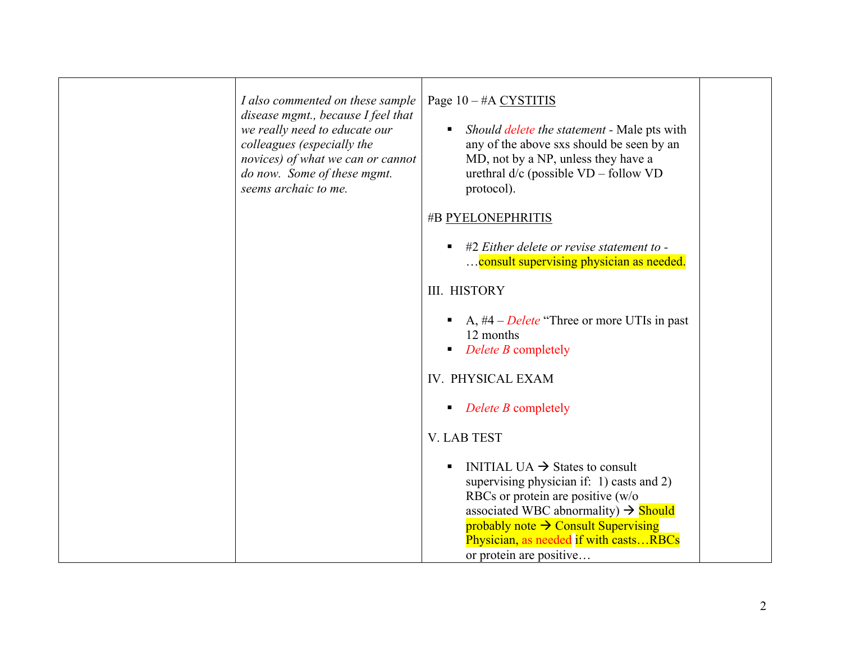| I also commented on these sample<br>disease mgmt., because I feel that<br>we really need to educate our<br>colleagues (especially the<br>novices) of what we can or cannot<br>do now. Some of these mgmt.<br>seems archaic to me. | Page 10 - #A CYSTITIS<br>Should delete the statement - Male pts with<br>any of the above sxs should be seen by an<br>MD, not by a NP, unless they have a<br>urethral $d/c$ (possible $VD$ – follow $VD$<br>protocol).                                                                                    |  |
|-----------------------------------------------------------------------------------------------------------------------------------------------------------------------------------------------------------------------------------|----------------------------------------------------------------------------------------------------------------------------------------------------------------------------------------------------------------------------------------------------------------------------------------------------------|--|
|                                                                                                                                                                                                                                   | #B PYELONEPHRITIS<br>#2 Either delete or revise statement to -<br>consult supervising physician as needed.                                                                                                                                                                                               |  |
|                                                                                                                                                                                                                                   | <b>III. HISTORY</b>                                                                                                                                                                                                                                                                                      |  |
|                                                                                                                                                                                                                                   | A, $#4$ – <i>Delete</i> "Three or more UTIs in past"<br>12 months<br>Delete B completely                                                                                                                                                                                                                 |  |
|                                                                                                                                                                                                                                   | IV. PHYSICAL EXAM                                                                                                                                                                                                                                                                                        |  |
|                                                                                                                                                                                                                                   | $\blacksquare$ Delete B completely                                                                                                                                                                                                                                                                       |  |
|                                                                                                                                                                                                                                   | <b>V. LAB TEST</b>                                                                                                                                                                                                                                                                                       |  |
|                                                                                                                                                                                                                                   | INITIAL UA $\rightarrow$ States to consult<br>supervising physician if: 1) casts and 2)<br>RBCs or protein are positive (w/o<br>associated WBC abnormality) $\rightarrow$ Should<br>probably note $\rightarrow$ Consult Supervising<br>Physician, as needed if with castsRBCs<br>or protein are positive |  |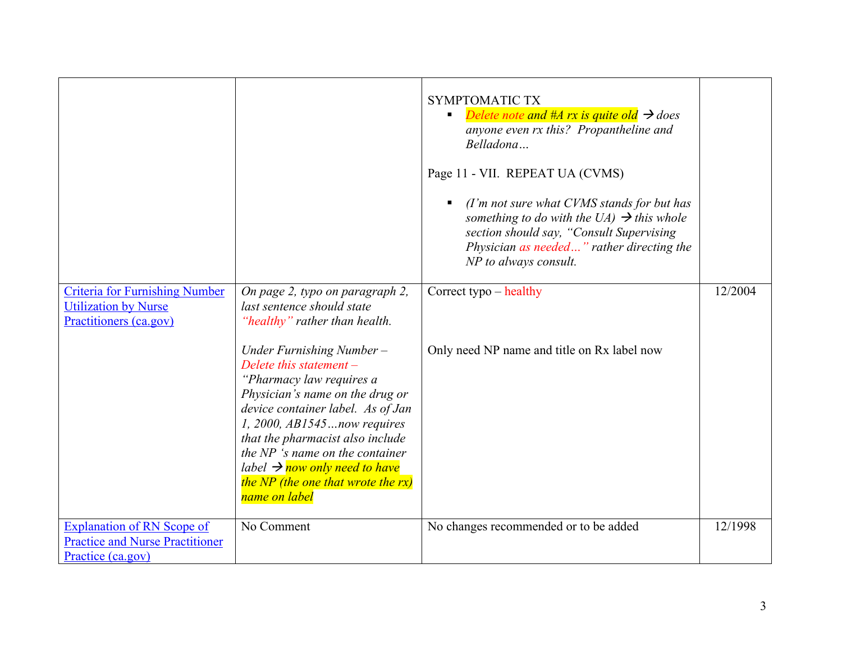|                                                                                                  |                                                                                                                                                                                                                                                                                                                                                                        | SYMPTOMATIC TX<br>Delete note and #A rx is quite old $\rightarrow$ does<br>anyone even rx this? Propantheline and<br>Belladona<br>Page 11 - VII. REPEAT UA (CVMS)<br>(I'm not sure what CVMS stands for but has<br>something to do with the UA) $\rightarrow$ this whole<br>section should say, "Consult Supervising<br>Physician as needed" rather directing the<br>NP to always consult. |         |
|--------------------------------------------------------------------------------------------------|------------------------------------------------------------------------------------------------------------------------------------------------------------------------------------------------------------------------------------------------------------------------------------------------------------------------------------------------------------------------|--------------------------------------------------------------------------------------------------------------------------------------------------------------------------------------------------------------------------------------------------------------------------------------------------------------------------------------------------------------------------------------------|---------|
| <b>Criteria for Furnishing Number</b><br><b>Utilization by Nurse</b><br>Practitioners (ca.gov)   | On page 2, typo on paragraph 2,<br>last sentence should state<br>"healthy" rather than health.                                                                                                                                                                                                                                                                         | Correct typo - healthy                                                                                                                                                                                                                                                                                                                                                                     | 12/2004 |
|                                                                                                  | Under Furnishing Number-<br>Delete this statement $-$<br>"Pharmacy law requires a<br>Physician's name on the drug or<br>device container label. As of Jan<br>1, 2000, AB1545now requires<br>that the pharmacist also include<br>the NP 's name on the container<br>label $\rightarrow$ now only need to have<br>the NP (the one that wrote the $rx$ )<br>name on label | Only need NP name and title on Rx label now                                                                                                                                                                                                                                                                                                                                                |         |
| <b>Explanation of RN Scope of</b><br><b>Practice and Nurse Practitioner</b><br>Practice (ca.gov) | No Comment                                                                                                                                                                                                                                                                                                                                                             | No changes recommended or to be added                                                                                                                                                                                                                                                                                                                                                      | 12/1998 |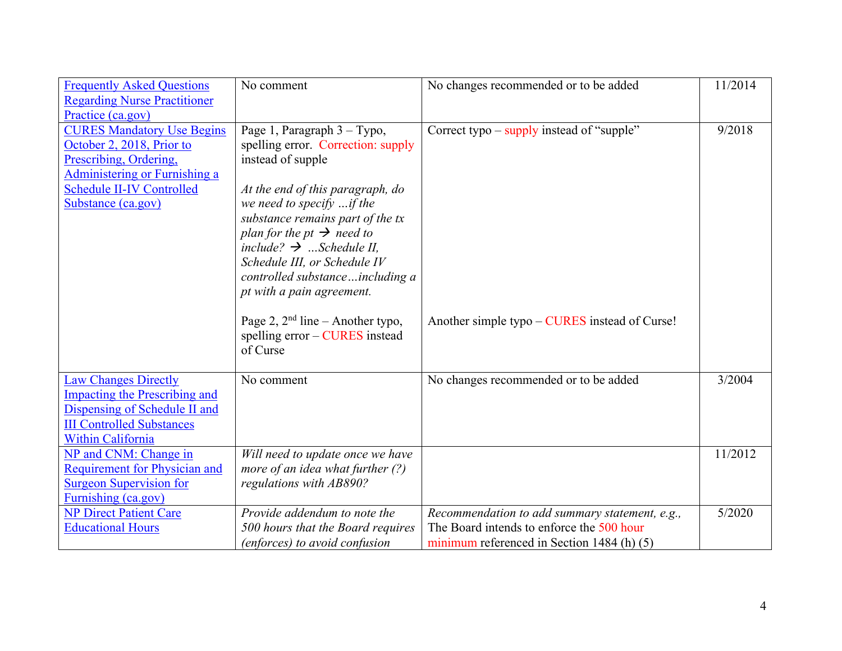| <b>Frequently Asked Questions</b>    | No comment                            | No changes recommended or to be added                       | 11/2014 |
|--------------------------------------|---------------------------------------|-------------------------------------------------------------|---------|
| <b>Regarding Nurse Practitioner</b>  |                                       |                                                             |         |
| Practice (ca.gov)                    |                                       |                                                             |         |
| <b>CURES Mandatory Use Begins</b>    | Page 1, Paragraph 3 – Typo,           | Correct typo $-\frac{2}{\text{supply}}$ instead of "supple" | 9/2018  |
| October 2, 2018, Prior to            | spelling error. Correction: supply    |                                                             |         |
| Prescribing, Ordering,               | instead of supple                     |                                                             |         |
| Administering or Furnishing a        |                                       |                                                             |         |
| <b>Schedule II-IV Controlled</b>     | At the end of this paragraph, do      |                                                             |         |
| Substance (ca.gov)                   | we need to specify $$ if the          |                                                             |         |
|                                      | substance remains part of the tx      |                                                             |         |
|                                      | plan for the pt $\rightarrow$ need to |                                                             |         |
|                                      | include? $\rightarrow$ Schedule II,   |                                                             |         |
|                                      | Schedule III, or Schedule IV          |                                                             |         |
|                                      | controlled substanceincluding a       |                                                             |         |
|                                      | pt with a pain agreement.             |                                                             |         |
|                                      |                                       |                                                             |         |
|                                      | Page 2, $2nd$ line – Another typo,    | Another simple typo – CURES instead of Curse!               |         |
|                                      | spelling $error - CURES$ instead      |                                                             |         |
|                                      | of Curse                              |                                                             |         |
|                                      |                                       |                                                             |         |
| <b>Law Changes Directly</b>          | No comment                            | No changes recommended or to be added                       | 3/2004  |
| <b>Impacting the Prescribing and</b> |                                       |                                                             |         |
| Dispensing of Schedule II and        |                                       |                                                             |         |
| <b>III Controlled Substances</b>     |                                       |                                                             |         |
| Within California                    |                                       |                                                             |         |
| NP and CNM: Change in                | Will need to update once we have      |                                                             | 11/2012 |
| Requirement for Physician and        | more of an idea what further $(?)$    |                                                             |         |
| <b>Surgeon Supervision for</b>       | regulations with AB890?               |                                                             |         |
| Furnishing (ca.gov)                  |                                       |                                                             |         |
| <b>NP Direct Patient Care</b>        | Provide addendum to note the          | Recommendation to add summary statement, e.g.,              | 5/2020  |
| <b>Educational Hours</b>             | 500 hours that the Board requires     | The Board intends to enforce the 500 hour                   |         |
|                                      | (enforces) to avoid confusion         | minimum referenced in Section 1484 (h) $(5)$                |         |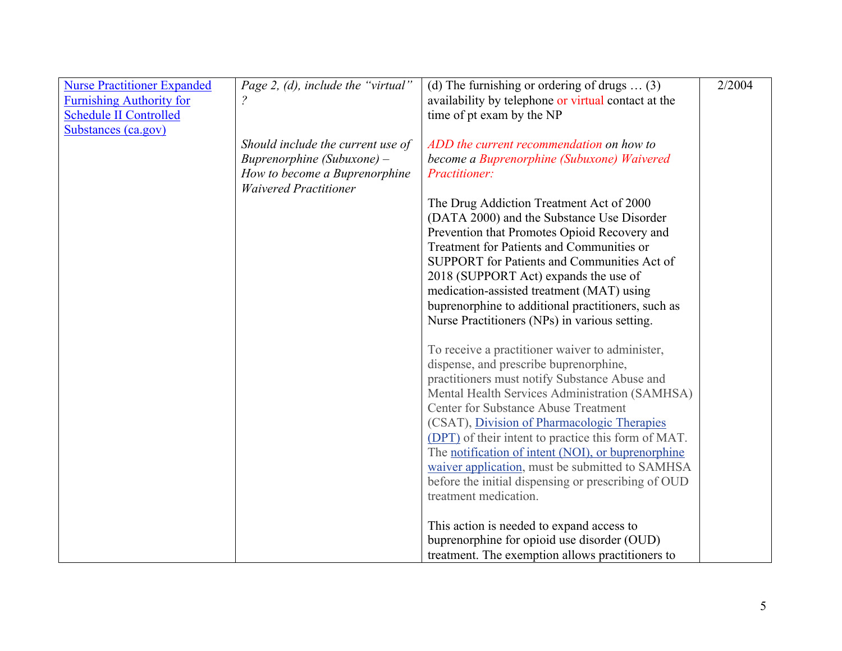| <b>Nurse Practitioner Expanded</b> | Page 2, (d), include the "virtual" | (d) The furnishing or ordering of drugs $\dots$ (3) | 2/2004 |
|------------------------------------|------------------------------------|-----------------------------------------------------|--------|
| <b>Furnishing Authority for</b>    |                                    | availability by telephone or virtual contact at the |        |
| <b>Schedule II Controlled</b>      |                                    | time of pt exam by the NP                           |        |
| Substances (ca.gov)                |                                    |                                                     |        |
|                                    | Should include the current use of  | ADD the current recommendation on how to            |        |
|                                    | Buprenorphine (Subuxone) -         | become a Buprenorphine (Subuxone) Waivered          |        |
|                                    | How to become a Buprenorphine      | Practitioner:                                       |        |
|                                    | <b>Waivered Practitioner</b>       |                                                     |        |
|                                    |                                    | The Drug Addiction Treatment Act of 2000            |        |
|                                    |                                    | (DATA 2000) and the Substance Use Disorder          |        |
|                                    |                                    | Prevention that Promotes Opioid Recovery and        |        |
|                                    |                                    | Treatment for Patients and Communities or           |        |
|                                    |                                    | SUPPORT for Patients and Communities Act of         |        |
|                                    |                                    | 2018 (SUPPORT Act) expands the use of               |        |
|                                    |                                    | medication-assisted treatment (MAT) using           |        |
|                                    |                                    | buprenorphine to additional practitioners, such as  |        |
|                                    |                                    | Nurse Practitioners (NPs) in various setting.       |        |
|                                    |                                    |                                                     |        |
|                                    |                                    | To receive a practitioner waiver to administer,     |        |
|                                    |                                    | dispense, and prescribe buprenorphine,              |        |
|                                    |                                    | practitioners must notify Substance Abuse and       |        |
|                                    |                                    | Mental Health Services Administration (SAMHSA)      |        |
|                                    |                                    | Center for Substance Abuse Treatment                |        |
|                                    |                                    | (CSAT), Division of Pharmacologic Therapies         |        |
|                                    |                                    | (DPT) of their intent to practice this form of MAT. |        |
|                                    |                                    | The notification of intent (NOI), or buprenorphine  |        |
|                                    |                                    | waiver application, must be submitted to SAMHSA     |        |
|                                    |                                    | before the initial dispensing or prescribing of OUD |        |
|                                    |                                    | treatment medication.                               |        |
|                                    |                                    |                                                     |        |
|                                    |                                    | This action is needed to expand access to           |        |
|                                    |                                    | buprenorphine for opioid use disorder (OUD)         |        |
|                                    |                                    | treatment. The exemption allows practitioners to    |        |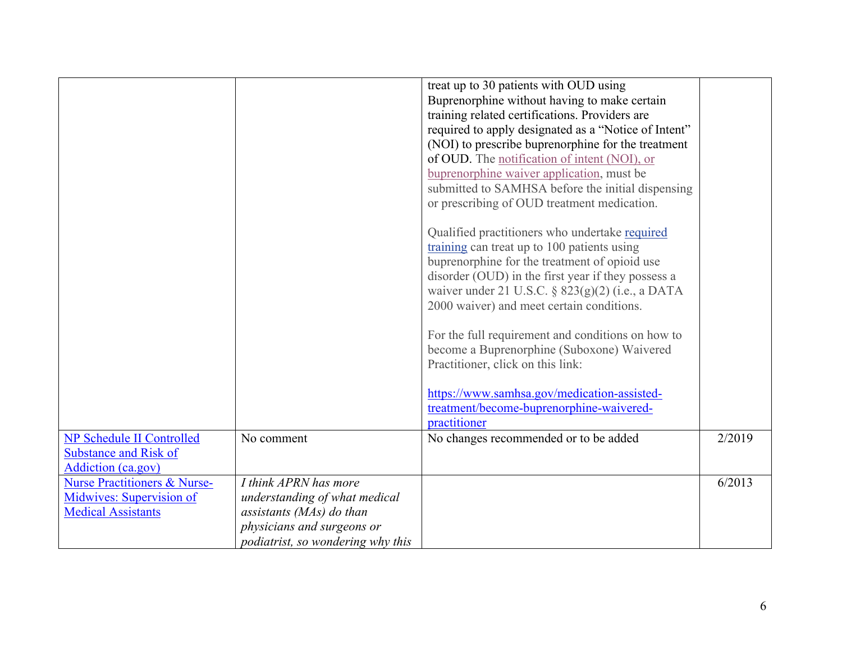|                                         |                                   | treat up to 30 patients with OUD using               |        |
|-----------------------------------------|-----------------------------------|------------------------------------------------------|--------|
|                                         |                                   | Buprenorphine without having to make certain         |        |
|                                         |                                   | training related certifications. Providers are       |        |
|                                         |                                   | required to apply designated as a "Notice of Intent" |        |
|                                         |                                   | (NOI) to prescribe buprenorphine for the treatment   |        |
|                                         |                                   | of OUD. The notification of intent (NOI), or         |        |
|                                         |                                   | buprenorphine waiver application, must be            |        |
|                                         |                                   | submitted to SAMHSA before the initial dispensing    |        |
|                                         |                                   | or prescribing of OUD treatment medication.          |        |
|                                         |                                   |                                                      |        |
|                                         |                                   | Qualified practitioners who undertake required       |        |
|                                         |                                   | training can treat up to 100 patients using          |        |
|                                         |                                   | buprenorphine for the treatment of opioid use        |        |
|                                         |                                   | disorder (OUD) in the first year if they possess a   |        |
|                                         |                                   | waiver under 21 U.S.C. § 823(g)(2) (i.e., a DATA     |        |
|                                         |                                   | 2000 waiver) and meet certain conditions.            |        |
|                                         |                                   |                                                      |        |
|                                         |                                   | For the full requirement and conditions on how to    |        |
|                                         |                                   | become a Buprenorphine (Suboxone) Waivered           |        |
|                                         |                                   | Practitioner, click on this link:                    |        |
|                                         |                                   |                                                      |        |
|                                         |                                   | https://www.samhsa.gov/medication-assisted-          |        |
|                                         |                                   | treatment/become-buprenorphine-waivered-             |        |
|                                         |                                   | practitioner                                         |        |
| <b>NP Schedule II Controlled</b>        | No comment                        | No changes recommended or to be added                | 2/2019 |
| <b>Substance and Risk of</b>            |                                   |                                                      |        |
| <b>Addiction</b> (ca.gov)               |                                   |                                                      |        |
| <b>Nurse Practitioners &amp; Nurse-</b> | I think APRN has more             |                                                      | 6/2013 |
| Midwives: Supervision of                | understanding of what medical     |                                                      |        |
| <b>Medical Assistants</b>               | assistants (MAs) do than          |                                                      |        |
|                                         | physicians and surgeons or        |                                                      |        |
|                                         |                                   |                                                      |        |
|                                         | podiatrist, so wondering why this |                                                      |        |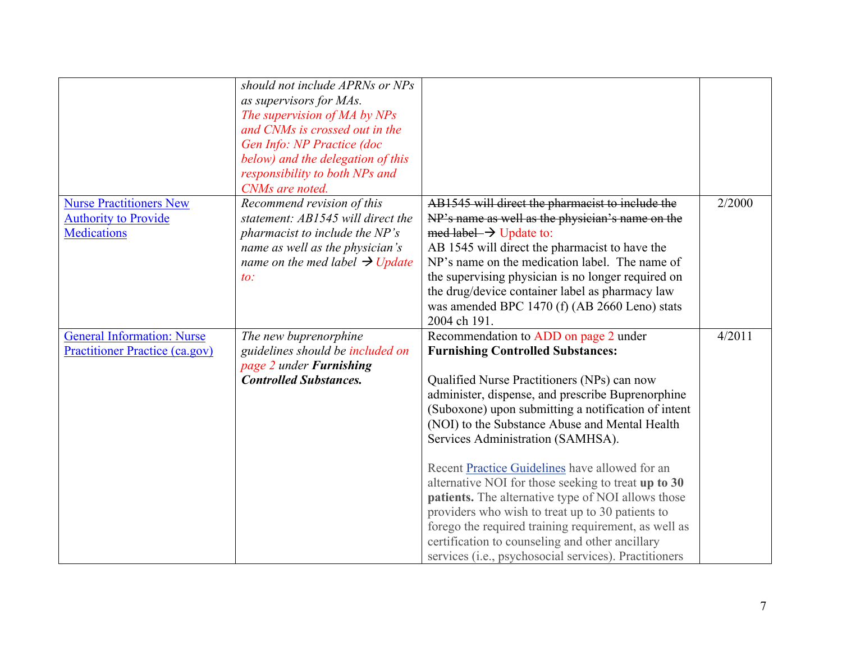|                                                                            | should not include APRNs or NPs                                                                                                                                                                               |                                                                                                                                                                                                                                                                                                                                                                                                                                                                                                                                                                                                                                                                                                                                                                                                                                                                                               |        |
|----------------------------------------------------------------------------|---------------------------------------------------------------------------------------------------------------------------------------------------------------------------------------------------------------|-----------------------------------------------------------------------------------------------------------------------------------------------------------------------------------------------------------------------------------------------------------------------------------------------------------------------------------------------------------------------------------------------------------------------------------------------------------------------------------------------------------------------------------------------------------------------------------------------------------------------------------------------------------------------------------------------------------------------------------------------------------------------------------------------------------------------------------------------------------------------------------------------|--------|
|                                                                            | as supervisors for MAs.                                                                                                                                                                                       |                                                                                                                                                                                                                                                                                                                                                                                                                                                                                                                                                                                                                                                                                                                                                                                                                                                                                               |        |
|                                                                            | The supervision of MA by NPs                                                                                                                                                                                  |                                                                                                                                                                                                                                                                                                                                                                                                                                                                                                                                                                                                                                                                                                                                                                                                                                                                                               |        |
|                                                                            | and CNMs is crossed out in the                                                                                                                                                                                |                                                                                                                                                                                                                                                                                                                                                                                                                                                                                                                                                                                                                                                                                                                                                                                                                                                                                               |        |
|                                                                            | Gen Info: NP Practice (doc                                                                                                                                                                                    |                                                                                                                                                                                                                                                                                                                                                                                                                                                                                                                                                                                                                                                                                                                                                                                                                                                                                               |        |
|                                                                            | below) and the delegation of this                                                                                                                                                                             |                                                                                                                                                                                                                                                                                                                                                                                                                                                                                                                                                                                                                                                                                                                                                                                                                                                                                               |        |
|                                                                            | responsibility to both NPs and                                                                                                                                                                                |                                                                                                                                                                                                                                                                                                                                                                                                                                                                                                                                                                                                                                                                                                                                                                                                                                                                                               |        |
|                                                                            | CNMs are noted.                                                                                                                                                                                               |                                                                                                                                                                                                                                                                                                                                                                                                                                                                                                                                                                                                                                                                                                                                                                                                                                                                                               |        |
| <b>Nurse Practitioners New</b>                                             | Recommend revision of this                                                                                                                                                                                    | AB1545 will direct the pharmacist to include the                                                                                                                                                                                                                                                                                                                                                                                                                                                                                                                                                                                                                                                                                                                                                                                                                                              | 2/2000 |
| <b>Authority to Provide</b>                                                | statement: AB1545 will direct the                                                                                                                                                                             | NP's name as well as the physician's name on the                                                                                                                                                                                                                                                                                                                                                                                                                                                                                                                                                                                                                                                                                                                                                                                                                                              |        |
| <b>Medications</b>                                                         | pharmacist to include the NP's                                                                                                                                                                                | med label $\rightarrow$ Update to:                                                                                                                                                                                                                                                                                                                                                                                                                                                                                                                                                                                                                                                                                                                                                                                                                                                            |        |
|                                                                            |                                                                                                                                                                                                               |                                                                                                                                                                                                                                                                                                                                                                                                                                                                                                                                                                                                                                                                                                                                                                                                                                                                                               |        |
|                                                                            |                                                                                                                                                                                                               | NP's name on the medication label. The name of                                                                                                                                                                                                                                                                                                                                                                                                                                                                                                                                                                                                                                                                                                                                                                                                                                                |        |
|                                                                            | $\iota$ .                                                                                                                                                                                                     |                                                                                                                                                                                                                                                                                                                                                                                                                                                                                                                                                                                                                                                                                                                                                                                                                                                                                               |        |
|                                                                            |                                                                                                                                                                                                               |                                                                                                                                                                                                                                                                                                                                                                                                                                                                                                                                                                                                                                                                                                                                                                                                                                                                                               |        |
|                                                                            |                                                                                                                                                                                                               |                                                                                                                                                                                                                                                                                                                                                                                                                                                                                                                                                                                                                                                                                                                                                                                                                                                                                               |        |
|                                                                            |                                                                                                                                                                                                               |                                                                                                                                                                                                                                                                                                                                                                                                                                                                                                                                                                                                                                                                                                                                                                                                                                                                                               |        |
|                                                                            |                                                                                                                                                                                                               |                                                                                                                                                                                                                                                                                                                                                                                                                                                                                                                                                                                                                                                                                                                                                                                                                                                                                               |        |
|                                                                            |                                                                                                                                                                                                               |                                                                                                                                                                                                                                                                                                                                                                                                                                                                                                                                                                                                                                                                                                                                                                                                                                                                                               |        |
|                                                                            |                                                                                                                                                                                                               |                                                                                                                                                                                                                                                                                                                                                                                                                                                                                                                                                                                                                                                                                                                                                                                                                                                                                               |        |
|                                                                            |                                                                                                                                                                                                               |                                                                                                                                                                                                                                                                                                                                                                                                                                                                                                                                                                                                                                                                                                                                                                                                                                                                                               |        |
|                                                                            |                                                                                                                                                                                                               |                                                                                                                                                                                                                                                                                                                                                                                                                                                                                                                                                                                                                                                                                                                                                                                                                                                                                               |        |
|                                                                            |                                                                                                                                                                                                               |                                                                                                                                                                                                                                                                                                                                                                                                                                                                                                                                                                                                                                                                                                                                                                                                                                                                                               |        |
|                                                                            |                                                                                                                                                                                                               |                                                                                                                                                                                                                                                                                                                                                                                                                                                                                                                                                                                                                                                                                                                                                                                                                                                                                               |        |
|                                                                            |                                                                                                                                                                                                               |                                                                                                                                                                                                                                                                                                                                                                                                                                                                                                                                                                                                                                                                                                                                                                                                                                                                                               |        |
|                                                                            |                                                                                                                                                                                                               |                                                                                                                                                                                                                                                                                                                                                                                                                                                                                                                                                                                                                                                                                                                                                                                                                                                                                               |        |
|                                                                            |                                                                                                                                                                                                               |                                                                                                                                                                                                                                                                                                                                                                                                                                                                                                                                                                                                                                                                                                                                                                                                                                                                                               |        |
|                                                                            |                                                                                                                                                                                                               |                                                                                                                                                                                                                                                                                                                                                                                                                                                                                                                                                                                                                                                                                                                                                                                                                                                                                               |        |
|                                                                            |                                                                                                                                                                                                               |                                                                                                                                                                                                                                                                                                                                                                                                                                                                                                                                                                                                                                                                                                                                                                                                                                                                                               |        |
|                                                                            |                                                                                                                                                                                                               |                                                                                                                                                                                                                                                                                                                                                                                                                                                                                                                                                                                                                                                                                                                                                                                                                                                                                               |        |
|                                                                            |                                                                                                                                                                                                               |                                                                                                                                                                                                                                                                                                                                                                                                                                                                                                                                                                                                                                                                                                                                                                                                                                                                                               |        |
|                                                                            |                                                                                                                                                                                                               |                                                                                                                                                                                                                                                                                                                                                                                                                                                                                                                                                                                                                                                                                                                                                                                                                                                                                               |        |
|                                                                            |                                                                                                                                                                                                               | services (i.e., psychosocial services). Practitioners                                                                                                                                                                                                                                                                                                                                                                                                                                                                                                                                                                                                                                                                                                                                                                                                                                         |        |
| <b>General Information: Nurse</b><br><b>Practitioner Practice (ca.gov)</b> | name as well as the physician's<br>name on the med label $\rightarrow$ Update<br>The new buprenorphine<br>guidelines should be included on<br>page 2 under <b>Furnishing</b><br><b>Controlled Substances.</b> | AB 1545 will direct the pharmacist to have the<br>the supervising physician is no longer required on<br>the drug/device container label as pharmacy law<br>was amended BPC 1470 (f) (AB 2660 Leno) stats<br>2004 ch 191.<br>Recommendation to ADD on page 2 under<br><b>Furnishing Controlled Substances:</b><br>Qualified Nurse Practitioners (NPs) can now<br>administer, dispense, and prescribe Buprenorphine<br>(Suboxone) upon submitting a notification of intent<br>(NOI) to the Substance Abuse and Mental Health<br>Services Administration (SAMHSA).<br>Recent Practice Guidelines have allowed for an<br>alternative NOI for those seeking to treat up to 30<br>patients. The alternative type of NOI allows those<br>providers who wish to treat up to 30 patients to<br>forego the required training requirement, as well as<br>certification to counseling and other ancillary | 4/2011 |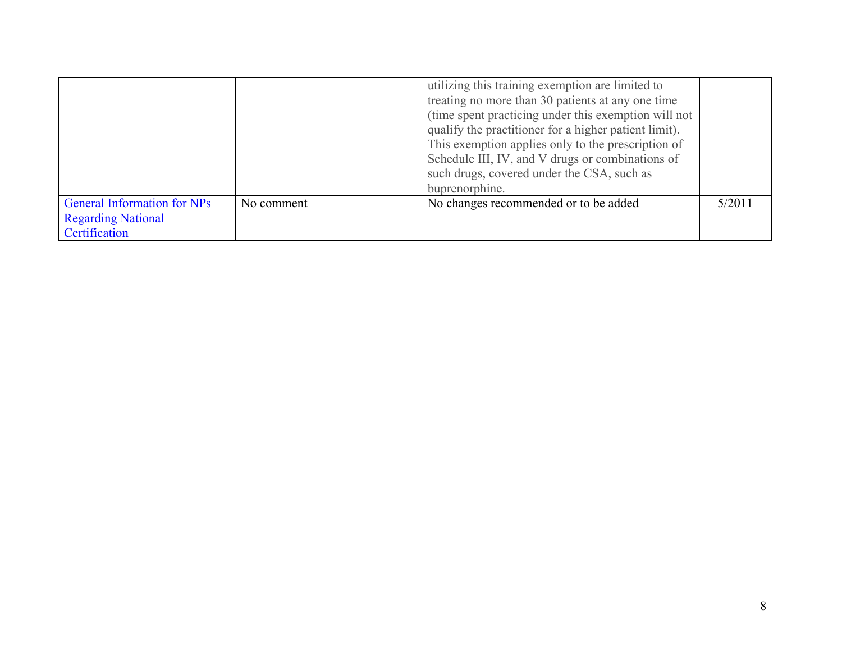|                                    |            | utilizing this training exemption are limited to<br>treating no more than 30 patients at any one time<br>(time spent practicing under this exemption will not<br>qualify the practitioner for a higher patient limit).<br>This exemption applies only to the prescription of<br>Schedule III, IV, and V drugs or combinations of<br>such drugs, covered under the CSA, such as<br>buprenorphine. |        |
|------------------------------------|------------|--------------------------------------------------------------------------------------------------------------------------------------------------------------------------------------------------------------------------------------------------------------------------------------------------------------------------------------------------------------------------------------------------|--------|
| <b>General Information for NPs</b> | No comment | No changes recommended or to be added                                                                                                                                                                                                                                                                                                                                                            | 5/2011 |
| <b>Regarding National</b>          |            |                                                                                                                                                                                                                                                                                                                                                                                                  |        |
| Certification                      |            |                                                                                                                                                                                                                                                                                                                                                                                                  |        |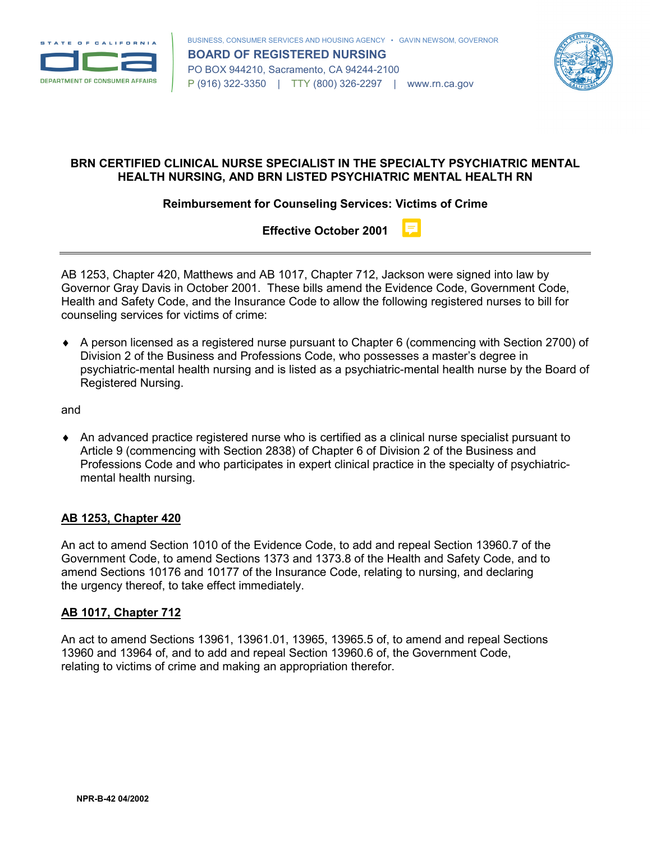



## **BRN CERTIFIED CLINICAL NURSE SPECIALIST IN THE SPECIALTY PSYCHIATRIC MENTAL HEALTH NURSING, AND BRN LISTED PSYCHIATRIC MENTAL HEALTH RN**

**Reimbursement for Counseling Services: Victims of Crime**

**Effective October 2001**

AB 1253, Chapter 420, Matthews and AB 1017, Chapter 712, Jackson were signed into law by Governor Gray Davis in October 2001. These bills amend the Evidence Code, Government Code, Health and Safety Code, and the Insurance Code to allow the following registered nurses to bill for counseling services for victims of crime:

♦ A person licensed as a registered nurse pursuant to Chapter 6 (commencing with Section 2700) of Division 2 of the Business and Professions Code, who possesses a master's degree in psychiatric-mental health nursing and is listed as a psychiatric-mental health nurse by the Board of Registered Nursing.

and

♦ An advanced practice registered nurse who is certified as a clinical nurse specialist pursuant to Article 9 (commencing with Section 2838) of Chapter 6 of Division 2 of the Business and Professions Code and who participates in expert clinical practice in the specialty of psychiatricmental health nursing.

## **AB 1253, Chapter 420**

An act to amend Section 1010 of the Evidence Code, to add and repeal Section 13960.7 of the Government Code, to amend Sections 1373 and 1373.8 of the Health and Safety Code, and to amend Sections 10176 and 10177 of the Insurance Code, relating to nursing, and declaring the urgency thereof, to take effect immediately.

## **AB 1017, Chapter 712**

An act to amend Sections 13961, 13961.01, 13965, 13965.5 of, to amend and repeal Sections 13960 and 13964 of, and to add and repeal Section 13960.6 of, the Government Code, relating to victims of crime and making an appropriation therefor.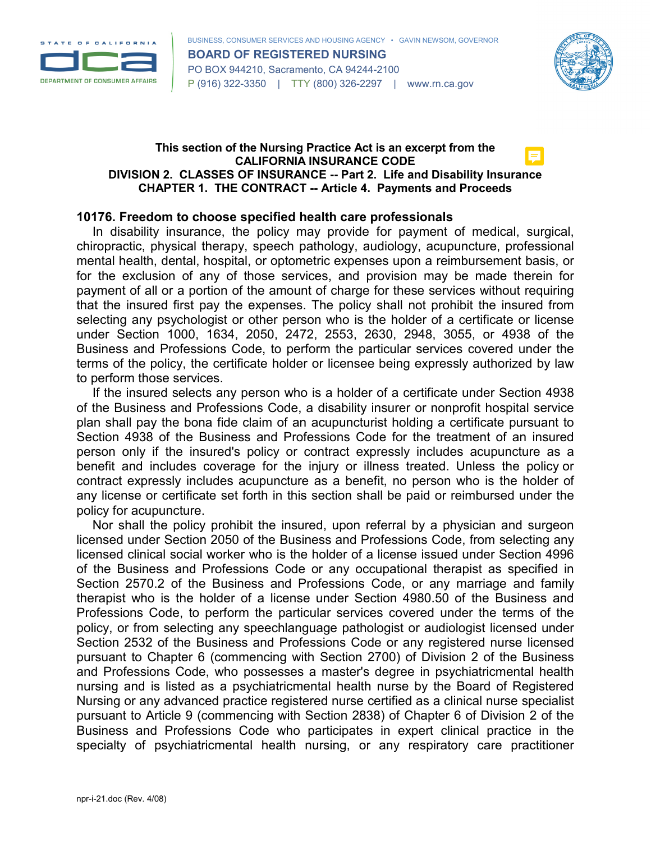



#### **This section of the Nursing Practice Act is an excerpt from the CALIFORNIA INSURANCE CODE DIVISION 2. CLASSES OF INSURANCE -- Part 2. Life and Disability Insurance CHAPTER 1. THE CONTRACT -- Article 4. Payments and Proceeds**

#### **10176. Freedom to choose specified health care professionals**

In disability insurance, the policy may provide for payment of medical, surgical, chiropractic, physical therapy, speech pathology, audiology, acupuncture, professional mental health, dental, hospital, or optometric expenses upon a reimbursement basis, or for the exclusion of any of those services, and provision may be made therein for payment of all or a portion of the amount of charge for these services without requiring that the insured first pay the expenses. The policy shall not prohibit the insured from selecting any psychologist or other person who is the holder of a certificate or license under Section 1000, 1634, 2050, 2472, 2553, 2630, 2948, 3055, or 4938 of the Business and Professions Code, to perform the particular services covered under the terms of the policy, the certificate holder or licensee being expressly authorized by law to perform those services.

If the insured selects any person who is a holder of a certificate under Section 4938 of the Business and Professions Code, a disability insurer or nonprofit hospital service plan shall pay the bona fide claim of an acupuncturist holding a certificate pursuant to Section 4938 of the Business and Professions Code for the treatment of an insured person only if the insured's policy or contract expressly includes acupuncture as a benefit and includes coverage for the injury or illness treated. Unless the policy or contract expressly includes acupuncture as a benefit, no person who is the holder of any license or certificate set forth in this section shall be paid or reimbursed under the policy for acupuncture.

Nor shall the policy prohibit the insured, upon referral by a physician and surgeon licensed under Section 2050 of the Business and Professions Code, from selecting any licensed clinical social worker who is the holder of a license issued under Section 4996 of the Business and Professions Code or any occupational therapist as specified in Section 2570.2 of the Business and Professions Code, or any marriage and family therapist who is the holder of a license under Section 4980.50 of the Business and Professions Code, to perform the particular services covered under the terms of the policy, or from selecting any speechlanguage pathologist or audiologist licensed under Section 2532 of the Business and Professions Code or any registered nurse licensed pursuant to Chapter 6 (commencing with Section 2700) of Division 2 of the Business and Professions Code, who possesses a master's degree in psychiatricmental health nursing and is listed as a psychiatricmental health nurse by the Board of Registered Nursing or any advanced practice registered nurse certified as a clinical nurse specialist pursuant to Article 9 (commencing with Section 2838) of Chapter 6 of Division 2 of the Business and Professions Code who participates in expert clinical practice in the specialty of psychiatricmental health nursing, or any respiratory care practitioner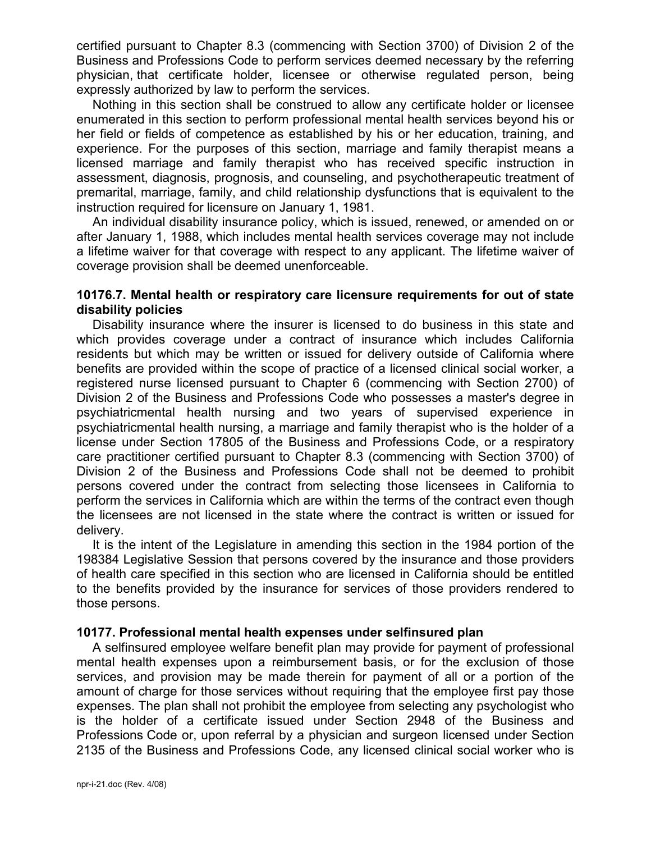certified pursuant to Chapter 8.3 (commencing with Section 3700) of Division 2 of the Business and Professions Code to perform services deemed necessary by the referring physician, that certificate holder, licensee or otherwise regulated person, being expressly authorized by law to perform the services.

Nothing in this section shall be construed to allow any certificate holder or licensee enumerated in this section to perform professional mental health services beyond his or her field or fields of competence as established by his or her education, training, and experience. For the purposes of this section, marriage and family therapist means a licensed marriage and family therapist who has received specific instruction in assessment, diagnosis, prognosis, and counseling, and psychotherapeutic treatment of premarital, marriage, family, and child relationship dysfunctions that is equivalent to the instruction required for licensure on January 1, 1981.

An individual disability insurance policy, which is issued, renewed, or amended on or after January 1, 1988, which includes mental health services coverage may not include a lifetime waiver for that coverage with respect to any applicant. The lifetime waiver of coverage provision shall be deemed unenforceable.

#### **10176.7. Mental health or respiratory care licensure requirements for out of state disability policies**

Disability insurance where the insurer is licensed to do business in this state and which provides coverage under a contract of insurance which includes California residents but which may be written or issued for delivery outside of California where benefits are provided within the scope of practice of a licensed clinical social worker, a registered nurse licensed pursuant to Chapter 6 (commencing with Section 2700) of Division 2 of the Business and Professions Code who possesses a master's degree in psychiatricmental health nursing and two years of supervised experience in psychiatricmental health nursing, a marriage and family therapist who is the holder of a license under Section 17805 of the Business and Professions Code, or a respiratory care practitioner certified pursuant to Chapter 8.3 (commencing with Section 3700) of Division 2 of the Business and Professions Code shall not be deemed to prohibit persons covered under the contract from selecting those licensees in California to perform the services in California which are within the terms of the contract even though the licensees are not licensed in the state where the contract is written or issued for delivery.

It is the intent of the Legislature in amending this section in the 1984 portion of the 198384 Legislative Session that persons covered by the insurance and those providers of health care specified in this section who are licensed in California should be entitled to the benefits provided by the insurance for services of those providers rendered to those persons.

#### **10177. Professional mental health expenses under selfinsured plan**

A selfinsured employee welfare benefit plan may provide for payment of professional mental health expenses upon a reimbursement basis, or for the exclusion of those services, and provision may be made therein for payment of all or a portion of the amount of charge for those services without requiring that the employee first pay those expenses. The plan shall not prohibit the employee from selecting any psychologist who is the holder of a certificate issued under Section 2948 of the Business and Professions Code or, upon referral by a physician and surgeon licensed under Section 2135 of the Business and Professions Code, any licensed clinical social worker who is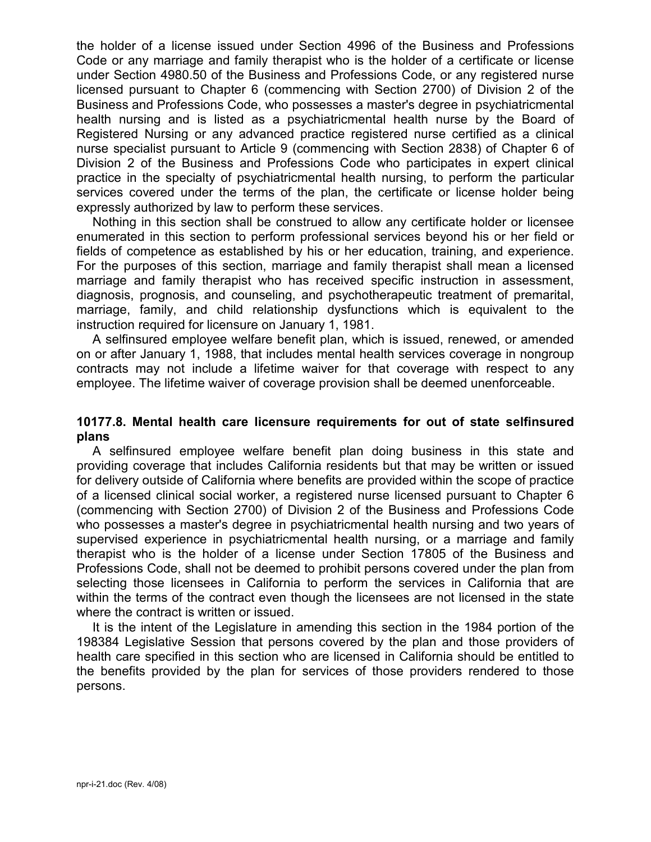the holder of a license issued under Section 4996 of the Business and Professions Code or any marriage and family therapist who is the holder of a certificate or license under Section 4980.50 of the Business and Professions Code, or any registered nurse licensed pursuant to Chapter 6 (commencing with Section 2700) of Division 2 of the Business and Professions Code, who possesses a master's degree in psychiatricmental health nursing and is listed as a psychiatricmental health nurse by the Board of Registered Nursing or any advanced practice registered nurse certified as a clinical nurse specialist pursuant to Article 9 (commencing with Section 2838) of Chapter 6 of Division 2 of the Business and Professions Code who participates in expert clinical practice in the specialty of psychiatricmental health nursing, to perform the particular services covered under the terms of the plan, the certificate or license holder being expressly authorized by law to perform these services.

Nothing in this section shall be construed to allow any certificate holder or licensee enumerated in this section to perform professional services beyond his or her field or fields of competence as established by his or her education, training, and experience. For the purposes of this section, marriage and family therapist shall mean a licensed marriage and family therapist who has received specific instruction in assessment, diagnosis, prognosis, and counseling, and psychotherapeutic treatment of premarital, marriage, family, and child relationship dysfunctions which is equivalent to the instruction required for licensure on January 1, 1981.

A selfinsured employee welfare benefit plan, which is issued, renewed, or amended on or after January 1, 1988, that includes mental health services coverage in nongroup contracts may not include a lifetime waiver for that coverage with respect to any employee. The lifetime waiver of coverage provision shall be deemed unenforceable.

#### **10177.8. Mental health care licensure requirements for out of state selfinsured plans**

A selfinsured employee welfare benefit plan doing business in this state and providing coverage that includes California residents but that may be written or issued for delivery outside of California where benefits are provided within the scope of practice of a licensed clinical social worker, a registered nurse licensed pursuant to Chapter 6 (commencing with Section 2700) of Division 2 of the Business and Professions Code who possesses a master's degree in psychiatricmental health nursing and two years of supervised experience in psychiatricmental health nursing, or a marriage and family therapist who is the holder of a license under Section 17805 of the Business and Professions Code, shall not be deemed to prohibit persons covered under the plan from selecting those licensees in California to perform the services in California that are within the terms of the contract even though the licensees are not licensed in the state where the contract is written or issued.

It is the intent of the Legislature in amending this section in the 1984 portion of the 198384 Legislative Session that persons covered by the plan and those providers of health care specified in this section who are licensed in California should be entitled to the benefits provided by the plan for services of those providers rendered to those persons.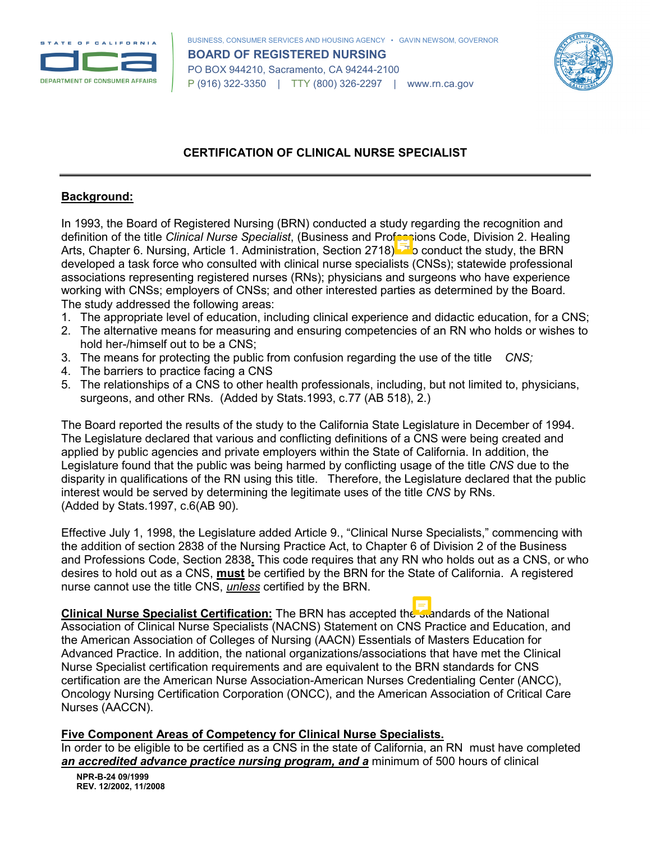



## **CERTIFICATION OF CLINICAL NURSE SPECIALIST**

#### **Background:**

In 1993, the Board of Registered Nursing (BRN) conducted a study regarding the recognition and definition of the title *Clinical Nurse Specialist*, (Business and Professions Code, Division 2. Healing Arts, Chapter 6. Nursing, Article 1. Administration, Section 2718). The conduct the study, the BRN developed a task force who consulted with clinical nurse specialists (CNSs); statewide professional associations representing registered nurses (RNs); physicians and surgeons who have experience working with CNSs; employers of CNSs; and other interested parties as determined by the Board. The study addressed the following areas:

- 1. The appropriate level of education, including clinical experience and didactic education, for a CNS;
- 2. The alternative means for measuring and ensuring competencies of an RN who holds or wishes to hold her-/himself out to be a CNS;
- 3. The means for protecting the public from confusion regarding the use of the title *CNS;*
- 4. The barriers to practice facing a CNS
- 5. The relationships of a CNS to other health professionals, including, but not limited to, physicians, surgeons, and other RNs. (Added by Stats.1993, c.77 (AB 518), 2.)

The Board reported the results of the study to the California State Legislature in December of 1994. The Legislature declared that various and conflicting definitions of a CNS were being created and applied by public agencies and private employers within the State of California. In addition, the Legislature found that the public was being harmed by conflicting usage of the title *CNS* due to the disparity in qualifications of the RN using this title. Therefore, the Legislature declared that the public interest would be served by determining the legitimate uses of the title *CNS* by RNs. (Added by Stats.1997, c.6(AB 90).

Effective July 1, 1998, the Legislature added Article 9., "Clinical Nurse Specialists," commencing with the addition of section 2838 of the Nursing Practice Act, to Chapter 6 of Division 2 of the Business and Professions Code, Section 2838**.** This code requires that any RN who holds out as a CNS, or who desires to hold out as a CNS, **must** be certified by the BRN for the State of California. A registered nurse cannot use the title CNS, *unless* certified by the BRN.

**Clinical Nurse Specialist Certification:** The BRN has accepted the standards of the National Association of Clinical Nurse Specialists (NACNS) Statement on CNS Practice and Education, and the American Association of Colleges of Nursing (AACN) Essentials of Masters Education for Advanced Practice. In addition, the national organizations/associations that have met the Clinical Nurse Specialist certification requirements and are equivalent to the BRN standards for CNS certification are the American Nurse Association-American Nurses Credentialing Center (ANCC), Oncology Nursing Certification Corporation (ONCC), and the American Association of Critical Care Nurses (AACCN).

#### **Five Component Areas of Competency for Clinical Nurse Specialists.**

In order to be eligible to be certified as a CNS in the state of California, an RN must have completed an accredited advance practice nursing program, and a minimum of 500 hours of clinical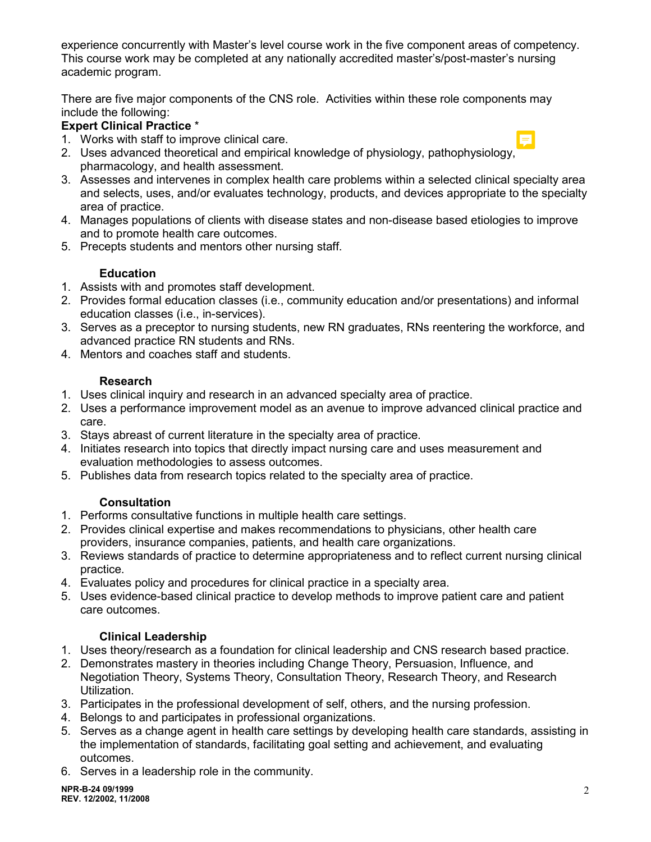experience concurrently with Master's level course work in the five component areas of competency. This course work may be completed at any nationally accredited master's/post-master's nursing academic program.

There are five major components of the CNS role. Activities within these role components may include the following:

## **Expert Clinical Practice** \*

1. Works with staff to improve clinical care.

- 
- 2. Uses advanced theoretical and empirical knowledge of physiology, pathophysiology, pharmacology, and health assessment.
- 3. Assesses and intervenes in complex health care problems within a selected clinical specialty area and selects, uses, and/or evaluates technology, products, and devices appropriate to the specialty area of practice.
- 4. Manages populations of clients with disease states and non-disease based etiologies to improve and to promote health care outcomes.
- 5. Precepts students and mentors other nursing staff.

## **Education**

- 1. Assists with and promotes staff development.
- 2. Provides formal education classes (i.e., community education and/or presentations) and informal education classes (i.e., in-services).
- 3. Serves as a preceptor to nursing students, new RN graduates, RNs reentering the workforce, and advanced practice RN students and RNs.
- 4. Mentors and coaches staff and students.

## **Research**

- 1. Uses clinical inquiry and research in an advanced specialty area of practice.
- 2. Uses a performance improvement model as an avenue to improve advanced clinical practice and care.
- 3. Stays abreast of current literature in the specialty area of practice.
- 4. Initiates research into topics that directly impact nursing care and uses measurement and evaluation methodologies to assess outcomes.
- 5. Publishes data from research topics related to the specialty area of practice.

## **Consultation**

- 1. Performs consultative functions in multiple health care settings.
- 2. Provides clinical expertise and makes recommendations to physicians, other health care providers, insurance companies, patients, and health care organizations.
- 3. Reviews standards of practice to determine appropriateness and to reflect current nursing clinical practice.
- 4. Evaluates policy and procedures for clinical practice in a specialty area.
- 5. Uses evidence-based clinical practice to develop methods to improve patient care and patient care outcomes.

## **Clinical Leadership**

- 1. Uses theory/research as a foundation for clinical leadership and CNS research based practice.
- 2. Demonstrates mastery in theories including Change Theory, Persuasion, Influence, and Negotiation Theory, Systems Theory, Consultation Theory, Research Theory, and Research Utilization.
- 3. Participates in the professional development of self, others, and the nursing profession.
- 4. Belongs to and participates in professional organizations.
- 5. Serves as a change agent in health care settings by developing health care standards, assisting in the implementation of standards, facilitating goal setting and achievement, and evaluating outcomes.
- 6. Serves in a leadership role in the community.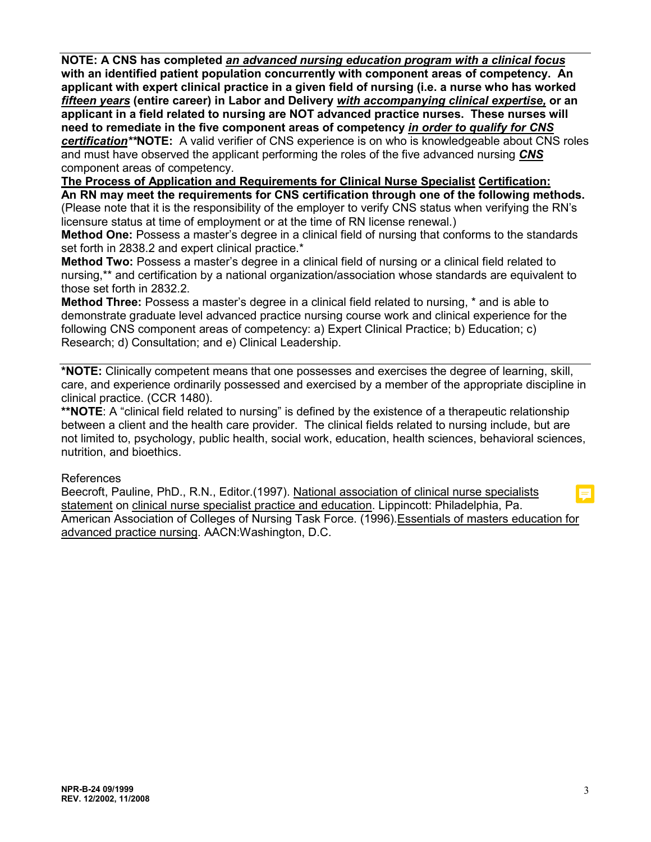**NOTE: A CNS has completed** *an advanced nursing education program with a clinical focus* **with an identified patient population concurrently with component areas of competency. An applicant with expert clinical practice in a given field of nursing (i.e. a nurse who has worked**  *fifteen years* **(entire career) in Labor and Delivery** *with accompanying clinical expertise,* **or an applicant in a field related to nursing are NOT advanced practice nurses. These nurses will need to remediate in the five component areas of competency** *in order to qualify for CNS certification\*\****NOTE:** A valid verifier of CNS experience is on who is knowledgeable about CNS roles

and must have observed the applicant performing the roles of the five advanced nursing *CNS* component areas of competency.

**The Process of Application and Requirements for Clinical Nurse Specialist Certification: An RN may meet the requirements for CNS certification through one of the following methods.** (Please note that it is the responsibility of the employer to verify CNS status when verifying the RN's licensure status at time of employment or at the time of RN license renewal.)

**Method One:** Possess a master's degree in a clinical field of nursing that conforms to the standards set forth in 2838.2 and expert clinical practice.\*

**Method Two:** Possess a master's degree in a clinical field of nursing or a clinical field related to nursing,\*\* and certification by a national organization/association whose standards are equivalent to those set forth in 2832.2.

**Method Three:** Possess a master's degree in a clinical field related to nursing, \* and is able to demonstrate graduate level advanced practice nursing course work and clinical experience for the following CNS component areas of competency: a) Expert Clinical Practice; b) Education; c) Research; d) Consultation; and e) Clinical Leadership.

**\*NOTE:** Clinically competent means that one possesses and exercises the degree of learning, skill, care, and experience ordinarily possessed and exercised by a member of the appropriate discipline in clinical practice. (CCR 1480).

**\*\*NOTE**: A "clinical field related to nursing" is defined by the existence of a therapeutic relationship between a client and the health care provider. The clinical fields related to nursing include, but are not limited to, psychology, public health, social work, education, health sciences, behavioral sciences, nutrition, and bioethics.

#### References

Beecroft, Pauline, PhD., R.N., Editor.(1997). National association of clinical nurse specialists statement on clinical nurse specialist practice and education. Lippincott: Philadelphia, Pa. American Association of Colleges of Nursing Task Force. (1996).Essentials of masters education for advanced practice nursing. AACN:Washington, D.C.